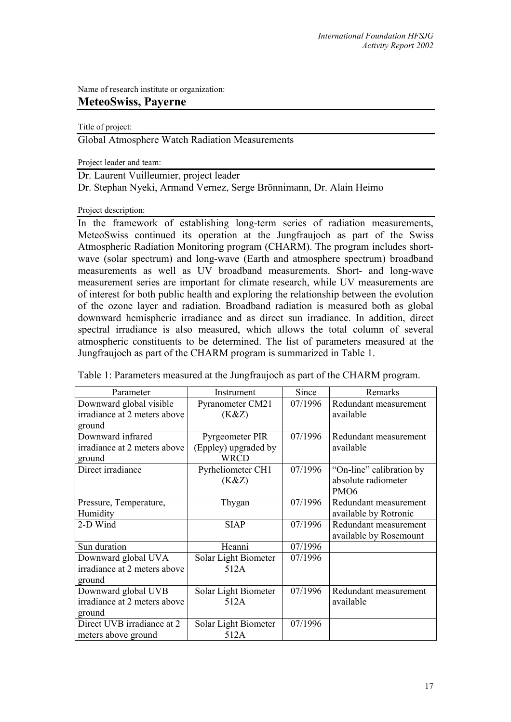Name of research institute or organization:

## **MeteoSwiss, Payerne**

Title of project:

Global Atmosphere Watch Radiation Measurements

Project leader and team:

Dr. Laurent Vuilleumier, project leader

Dr. Stephan Nyeki, Armand Vernez, Serge Brönnimann, Dr. Alain Heimo

Project description:

In the framework of establishing long-term series of radiation measurements, MeteoSwiss continued its operation at the Jungfraujoch as part of the Swiss Atmospheric Radiation Monitoring program (CHARM). The program includes shortwave (solar spectrum) and long-wave (Earth and atmosphere spectrum) broadband measurements as well as UV broadband measurements. Short- and long-wave measurement series are important for climate research, while UV measurements are of interest for both public health and exploring the relationship between the evolution of the ozone layer and radiation. Broadband radiation is measured both as global downward hemispheric irradiance and as direct sun irradiance. In addition, direct spectral irradiance is also measured, which allows the total column of several atmospheric constituents to be determined. The list of parameters measured at the Jungfraujoch as part of the CHARM program is summarized in Table 1.

| Parameter                    | Instrument           | Since   | Remarks                  |
|------------------------------|----------------------|---------|--------------------------|
| Downward global visible      | Pyranometer CM21     | 07/1996 | Redundant measurement    |
| irradiance at 2 meters above | (K&Z)                |         | available                |
| ground                       |                      |         |                          |
| Downward infrared            | Pyrgeometer PIR      | 07/1996 | Redundant measurement    |
| irradiance at 2 meters above | (Eppley) upgraded by |         | available                |
| ground                       | <b>WRCD</b>          |         |                          |
| Direct irradiance            | Pyrheliometer CH1    | 07/1996 | "On-line" calibration by |
|                              | (K&Z)                |         | absolute radiometer      |
|                              |                      |         | PMO <sub>6</sub>         |
| Pressure, Temperature,       | Thygan               | 07/1996 | Redundant measurement    |
| Humidity                     |                      |         | available by Rotronic    |
| 2-D Wind                     | <b>SIAP</b>          | 07/1996 | Redundant measurement    |
|                              |                      |         | available by Rosemount   |
| Sun duration                 | Heanni               | 07/1996 |                          |
| Downward global UVA          | Solar Light Biometer | 07/1996 |                          |
| irradiance at 2 meters above | 512A                 |         |                          |
| ground                       |                      |         |                          |
| Downward global UVB          | Solar Light Biometer | 07/1996 | Redundant measurement    |
| irradiance at 2 meters above | 512A                 |         | available                |
| ground                       |                      |         |                          |
| Direct UVB irradiance at 2   | Solar Light Biometer | 07/1996 |                          |
| meters above ground          | 512A                 |         |                          |

Table 1: Parameters measured at the Jungfraujoch as part of the CHARM program.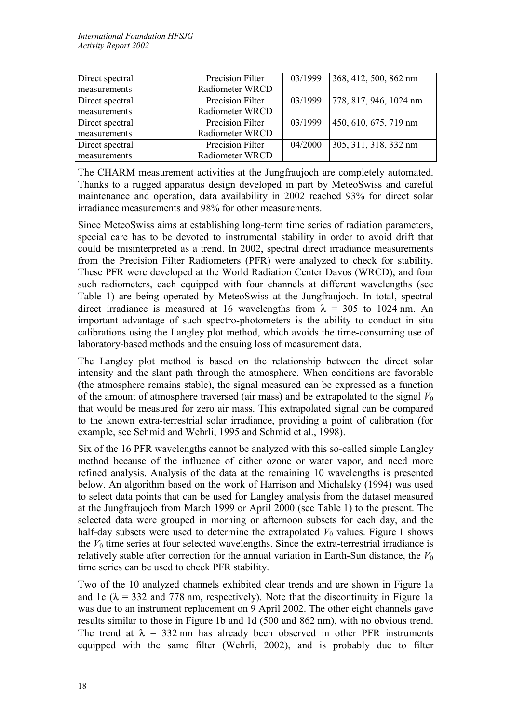| Direct spectral | Precision Filter | 03/1999 | 368, 412, 500, 862 nm  |
|-----------------|------------------|---------|------------------------|
| measurements    | Radiometer WRCD  |         |                        |
| Direct spectral | Precision Filter | 03/1999 | 778, 817, 946, 1024 nm |
| measurements    | Radiometer WRCD  |         |                        |
| Direct spectral | Precision Filter | 03/1999 | 450, 610, 675, 719 nm  |
| measurements    | Radiometer WRCD  |         |                        |
| Direct spectral | Precision Filter | 04/2000 | 305, 311, 318, 332 nm  |
| measurements    | Radiometer WRCD  |         |                        |

The CHARM measurement activities at the Jungfraujoch are completely automated. Thanks to a rugged apparatus design developed in part by MeteoSwiss and careful maintenance and operation, data availability in 2002 reached 93% for direct solar irradiance measurements and 98% for other measurements.

Since MeteoSwiss aims at establishing long-term time series of radiation parameters, special care has to be devoted to instrumental stability in order to avoid drift that could be misinterpreted as a trend. In 2002, spectral direct irradiance measurements from the Precision Filter Radiometers (PFR) were analyzed to check for stability. These PFR were developed at the World Radiation Center Davos (WRCD), and four such radiometers, each equipped with four channels at different wavelengths (see Table 1) are being operated by MeteoSwiss at the Jungfraujoch. In total, spectral direct irradiance is measured at 16 wavelengths from  $\lambda = 305$  to 1024 nm. An important advantage of such spectro-photometers is the ability to conduct in situ calibrations using the Langley plot method, which avoids the time-consuming use of laboratory-based methods and the ensuing loss of measurement data.

The Langley plot method is based on the relationship between the direct solar intensity and the slant path through the atmosphere. When conditions are favorable (the atmosphere remains stable), the signal measured can be expressed as a function of the amount of atmosphere traversed (air mass) and be extrapolated to the signal  $V_0$ that would be measured for zero air mass. This extrapolated signal can be compared to the known extra-terrestrial solar irradiance, providing a point of calibration (for example, see Schmid and Wehrli, 1995 and Schmid et al., 1998).

Six of the 16 PFR wavelengths cannot be analyzed with this so-called simple Langley method because of the influence of either ozone or water vapor, and need more refined analysis. Analysis of the data at the remaining 10 wavelengths is presented below. An algorithm based on the work of Harrison and Michalsky (1994) was used to select data points that can be used for Langley analysis from the dataset measured at the Jungfraujoch from March 1999 or April 2000 (see Table 1) to the present. The selected data were grouped in morning or afternoon subsets for each day, and the half-day subsets were used to determine the extrapolated  $V_0$  values. Figure 1 shows the  $V_0$  time series at four selected wavelengths. Since the extra-terrestrial irradiance is relatively stable after correction for the annual variation in Earth-Sun distance, the  $V_0$ time series can be used to check PFR stability.

Two of the 10 analyzed channels exhibited clear trends and are shown in Figure 1a and 1c ( $\lambda$  = 332 and 778 nm, respectively). Note that the discontinuity in Figure 1a was due to an instrument replacement on 9 April 2002. The other eight channels gave results similar to those in Figure 1b and 1d (500 and 862 nm), with no obvious trend. The trend at  $\lambda = 332$  nm has already been observed in other PFR instruments equipped with the same filter (Wehrli, 2002), and is probably due to filter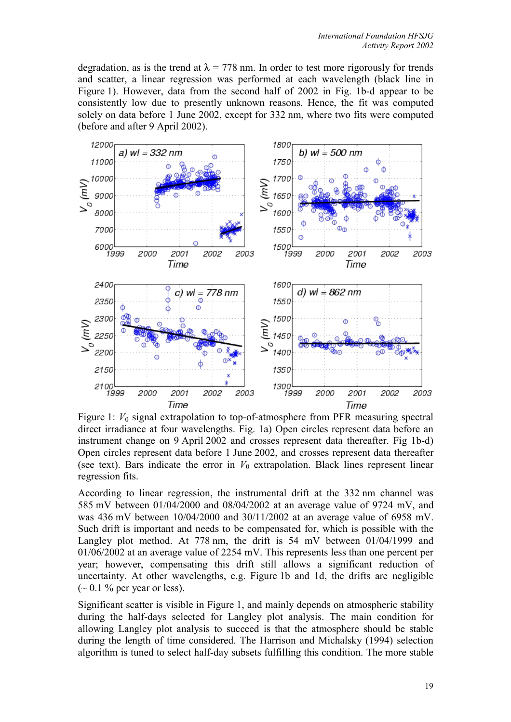degradation, as is the trend at  $\lambda = 778$  nm. In order to test more rigorously for trends and scatter, a linear regression was performed at each wavelength (black line in Figure 1). However, data from the second half of 2002 in Fig. 1b-d appear to be consistently low due to presently unknown reasons. Hence, the fit was computed solely on data before 1 June 2002, except for 332 nm, where two fits were computed (before and after 9 April 2002).



Figure 1: *V*<sub>0</sub> signal extrapolation to top-of-atmosphere from PFR measuring spectral direct irradiance at four wavelengths. Fig. 1a) Open circles represent data before an instrument change on 9 April 2002 and crosses represent data thereafter. Fig 1b-d) Open circles represent data before 1 June 2002, and crosses represent data thereafter (see text). Bars indicate the error in  $V_0$  extrapolation. Black lines represent linear regression fits.

According to linear regression, the instrumental drift at the 332 nm channel was 585 mV between 01/04/2000 and 08/04/2002 at an average value of 9724 mV, and was 436 mV between 10/04/2000 and 30/11/2002 at an average value of 6958 mV. Such drift is important and needs to be compensated for, which is possible with the Langley plot method. At 778 nm, the drift is 54 mV between 01/04/1999 and 01/06/2002 at an average value of 2254 mV. This represents less than one percent per year; however, compensating this drift still allows a significant reduction of uncertainty. At other wavelengths, e.g. Figure 1b and 1d, the drifts are negligible  $({\sim} 0.1 \text{ % per year or less}).$ 

Significant scatter is visible in Figure 1, and mainly depends on atmospheric stability during the half-days selected for Langley plot analysis. The main condition for allowing Langley plot analysis to succeed is that the atmosphere should be stable during the length of time considered. The Harrison and Michalsky (1994) selection algorithm is tuned to select half-day subsets fulfilling this condition. The more stable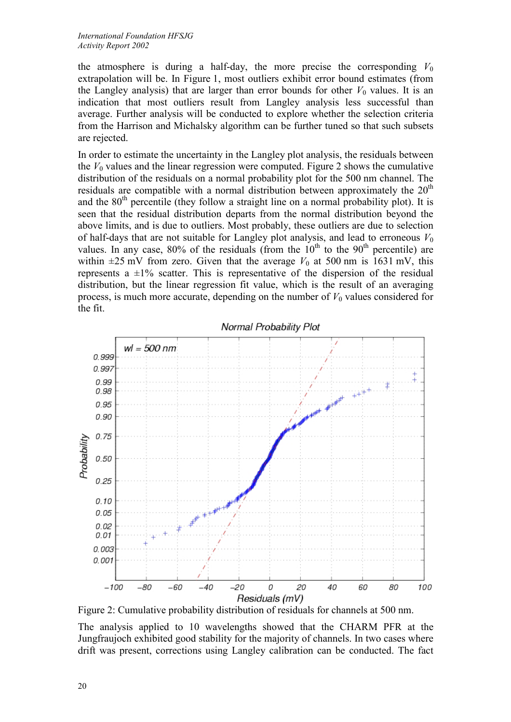the atmosphere is during a half-day, the more precise the corresponding  $V_0$ extrapolation will be. In Figure 1, most outliers exhibit error bound estimates (from the Langley analysis) that are larger than error bounds for other  $V_0$  values. It is an indication that most outliers result from Langley analysis less successful than average. Further analysis will be conducted to explore whether the selection criteria from the Harrison and Michalsky algorithm can be further tuned so that such subsets are rejected.

In order to estimate the uncertainty in the Langley plot analysis, the residuals between the  $V_0$  values and the linear regression were computed. Figure 2 shows the cumulative distribution of the residuals on a normal probability plot for the 500 nm channel. The residuals are compatible with a normal distribution between approximately the  $20<sup>th</sup>$ and the  $80<sup>th</sup>$  percentile (they follow a straight line on a normal probability plot). It is seen that the residual distribution departs from the normal distribution beyond the above limits, and is due to outliers. Most probably, these outliers are due to selection of half-days that are not suitable for Langley plot analysis, and lead to erroneous  $V_0$ values. In any case,  $80\%$  of the residuals (from the  $10<sup>th</sup>$  to the  $90<sup>th</sup>$  percentile) are within  $\pm 25$  mV from zero. Given that the average  $V_0$  at 500 nm is 1631 mV, this represents a  $\pm 1\%$  scatter. This is representative of the dispersion of the residual distribution, but the linear regression fit value, which is the result of an averaging process, is much more accurate, depending on the number of  $V_0$  values considered for the fit.



Figure 2: Cumulative probability distribution of residuals for channels at 500 nm.

The analysis applied to 10 wavelengths showed that the CHARM PFR at the Jungfraujoch exhibited good stability for the majority of channels. In two cases where drift was present, corrections using Langley calibration can be conducted. The fact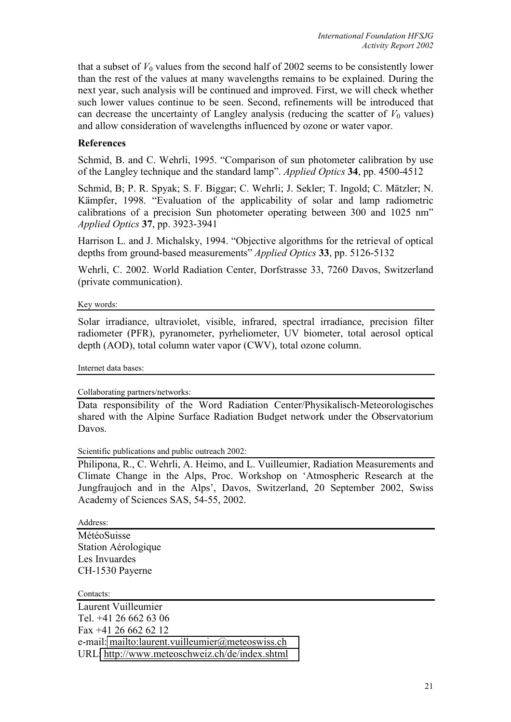that a subset of  $V_0$  values from the second half of 2002 seems to be consistently lower than the rest of the values at many wavelengths remains to be explained. During the next year, such analysis will be continued and improved. First, we will check whether such lower values continue to be seen. Second, refinements will be introduced that can decrease the uncertainty of Langley analysis (reducing the scatter of  $V_0$  values) and allow consideration of wavelengths influenced by ozone or water vapor.

## **References**

Schmid, B. and C. Wehrli, 1995. "Comparison of sun photometer calibration by use of the Langley technique and the standard lamp". *Applied Optics* **34**, pp. 4500-4512

Schmid, B; P. R. Spyak; S. F. Biggar; C. Wehrli; J. Sekler; T. Ingold; C. Mätzler; N. Kämpfer, 1998. "Evaluation of the applicability of solar and lamp radiometric calibrations of a precision Sun photometer operating between 300 and 1025 nm" *Applied Optics* **37**, pp. 3923-3941

Harrison L. and J. Michalsky, 1994. "Objective algorithms for the retrieval of optical depths from ground-based measurements" *Applied Optics* **33**, pp. 5126-5132

Wehrli, C. 2002. World Radiation Center, Dorfstrasse 33, 7260 Davos, Switzerland (private communication).

Key words:

Solar irradiance, ultraviolet, visible, infrared, spectral irradiance, precision filter radiometer (PFR), pyranometer, pyrheliometer, UV biometer, total aerosol optical depth (AOD), total column water vapor (CWV), total ozone column.

Internet data bases:

Collaborating partners/networks:

Data responsibility of the Word Radiation Center/Physikalisch-Meteorologisches shared with the Alpine Surface Radiation Budget network under the Observatorium Davos.

Scientific publications and public outreach 2002:

Philipona, R., C. Wehrli, A. Heimo, and L. Vuilleumier, Radiation Measurements and Climate Change in the Alps, Proc. Workshop on 'Atmospheric Research at the Jungfraujoch and in the Alps', Davos, Switzerland, 20 September 2002, Swiss Academy of Sciences SAS, 54-55, 2002.

Address:

MétéoSuisse Station Aérologique Les Invuardes CH-1530 Payerne

Contacts:

Laurent Vuilleumier Tel. +41 26 662 63 06 Fax +41 26 662 62 12 e-mail:<mailto:laurent.vuilleumier@meteoswiss.ch> URL[: http://www.meteoschweiz.ch/de/index.shtml](http://www.meteoschweiz.ch/de/index.shtml)